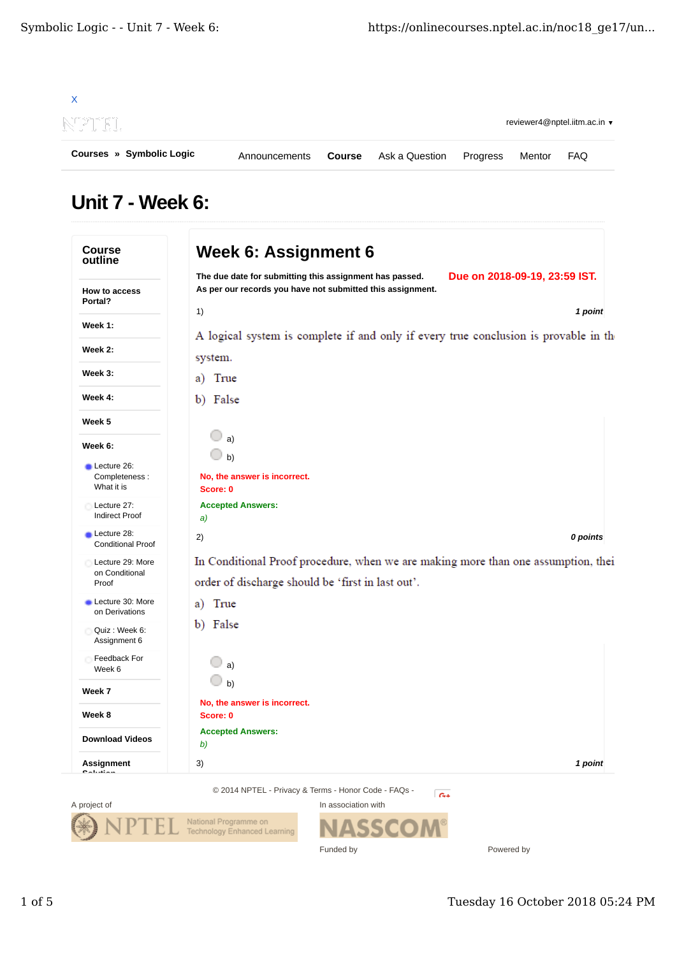

## Unit 7 - Week 6:

|                                            | Due on 2018-09-19, 23:59 IST.<br>The due date for submitting this assignment has passed. |
|--------------------------------------------|------------------------------------------------------------------------------------------|
| How to access<br>Portal?                   | As per our records you have not submitted this assignment.                               |
|                                            | 1)<br>1 point                                                                            |
| Week 1:                                    | A logical system is complete if and only if every true conclusion is provable in the     |
| Week 2:                                    | system.                                                                                  |
| Week 3:                                    | True<br>a)                                                                               |
| Week 4:                                    | b) False                                                                                 |
| Week 5                                     |                                                                                          |
| Week 6:                                    | a)<br>b)                                                                                 |
| Lecture 26:<br>Completeness:<br>What it is | No, the answer is incorrect.<br>Score: 0                                                 |
| Lecture 27:<br>Indirect Proof              | <b>Accepted Answers:</b><br>a)                                                           |
| Lecture 28:<br><b>Conditional Proof</b>    | 0 points<br>2)                                                                           |
| Lecture 29: More                           | In Conditional Proof procedure, when we are making more than one assumption, thei        |
| on Conditional<br>Proof                    | order of discharge should be 'first in last out'.                                        |
| Lecture 30: More<br>on Derivations         | True<br>a)                                                                               |
| Quiz: Week 6:<br>Assignment 6              | b) False                                                                                 |
| Feedback For<br>Week 6                     | a)                                                                                       |
| Week 7                                     | b)                                                                                       |
| Week 8                                     | No, the answer is incorrect.<br>Score: 0                                                 |
| <b>Download Videos</b>                     | <b>Accepted Answers:</b><br>b)                                                           |
| Assignment                                 | 3)<br>1 point                                                                            |

**ASSCOM** 

Funded by



Powered by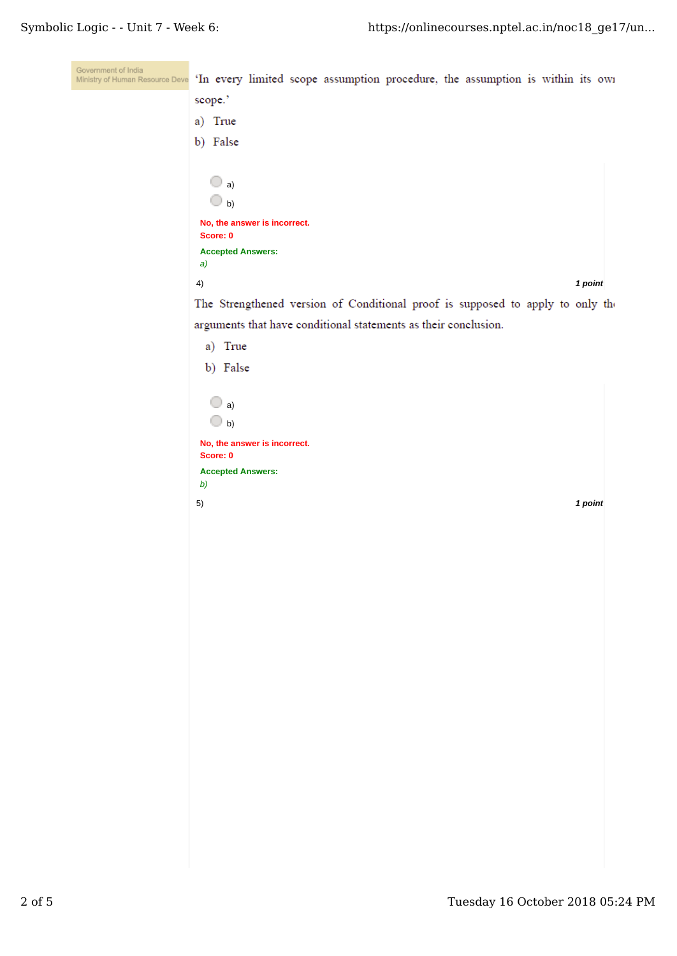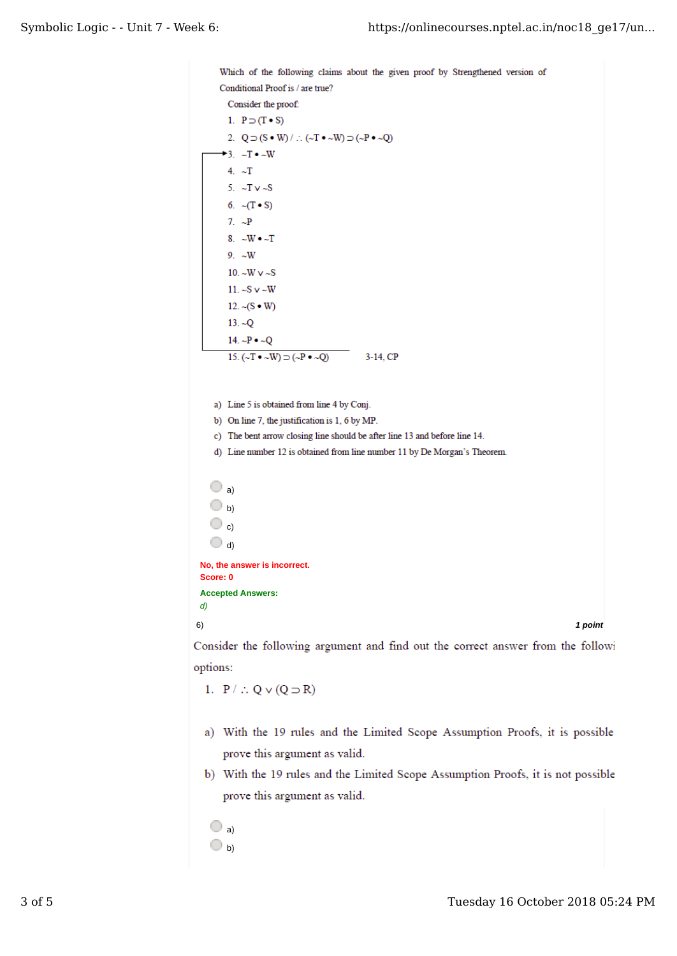```
Which of the following claims about the given proof by Strengthened version of
       Conditional Proof is / are true?
         Consider the proof:
         1. P \supset (T \bullet S)2. Q \supset (S \bullet W) / \therefore (\sim T \bullet \sim W) \supset (\sim P \bullet \sim Q)\rightarrow 3. \sim T \bullet \sim W
         4. \simT
         5. \simT v\simS
         6. \sim(T • S)
         7. \sim P8. \simW \bullet \simT
         9. \sim W10. \simW \sim \sim S
         11. -Sv \sim W
         12. \sim (S \bullet W)
         13. -Q14. \sim P \bullet \sim Q15. ({\sim}T \cdot {\sim}W) \supset ({\sim}P \cdot {\sim}Q)3-14, CPa) Line 5 is obtained from line 4 by Conj.
     b) On line 7, the justification is 1, 6 by MP.
     c) The bent arrow closing line should be after line 13 and before line 14.
     d) Line number 12 is obtained from line number 11 by De Morgan's Theorem.
    \bigcirc a)
    \bigcirc b)
    \bigcirc c)
    \bigcirc d)
 No, the answer is incorrect.
 Score: 0
 Accepted Answers:
 d)
6) 1 point
Consider the following argument and find out the correct answer from the followi
```
options:

1.  $P / \therefore Q \vee (Q \supset R)$ 

- a) With the 19 rules and the Limited Scope Assumption Proofs, it is possible prove this argument as valid.
- b) With the 19 rules and the Limited Scope Assumption Proofs, it is not possible prove this argument as valid.
	- $\bigcirc$  a)  $\bigcirc$  b)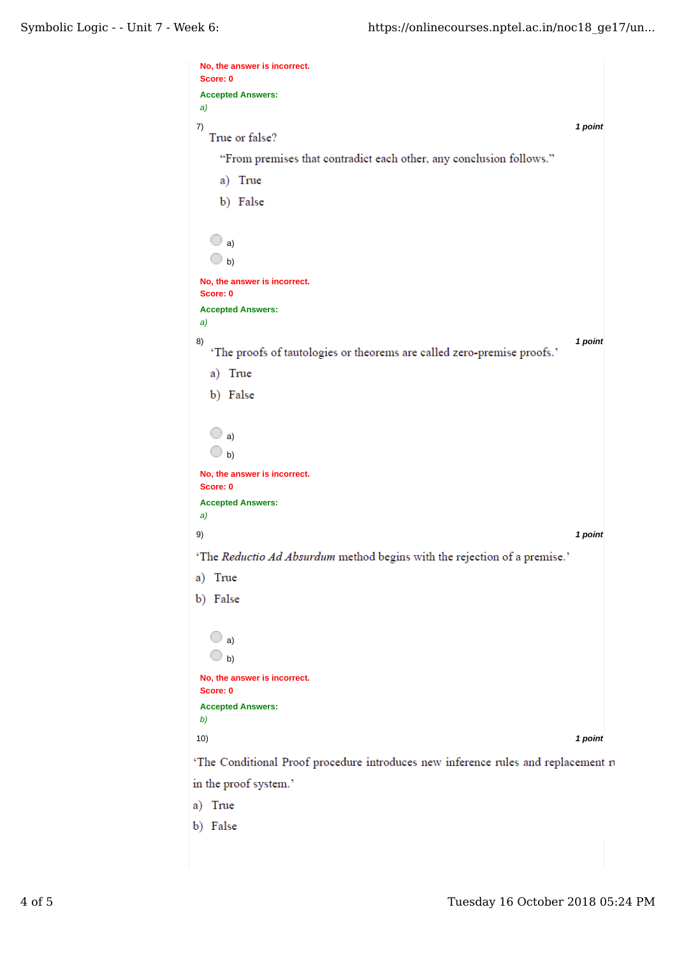| No, the answer is incorrect.                                                      |         |
|-----------------------------------------------------------------------------------|---------|
| Score: 0<br><b>Accepted Answers:</b>                                              |         |
| a)                                                                                |         |
| 7)<br>True or false?                                                              | 1 point |
| "From premises that contradict each other, any conclusion follows."               |         |
| a) True                                                                           |         |
| b) False                                                                          |         |
|                                                                                   |         |
| $\bigcirc$ a)                                                                     |         |
| $\Box$ b)                                                                         |         |
| No, the answer is incorrect.                                                      |         |
| Score: 0                                                                          |         |
| <b>Accepted Answers:</b>                                                          |         |
| a)                                                                                |         |
| 8)<br>'The proofs of tautologies or theorems are called zero-premise proofs.'     | 1 point |
| a) True                                                                           |         |
| b) False                                                                          |         |
|                                                                                   |         |
| $\bigcirc$ a)                                                                     |         |
| $\bigcirc$ b)                                                                     |         |
| No, the answer is incorrect.                                                      |         |
| Score: 0                                                                          |         |
| <b>Accepted Answers:</b>                                                          |         |
| a)<br>9)                                                                          | 1 point |
|                                                                                   |         |
| 'The Reductio Ad Absurdum method begins with the rejection of a premise.'         |         |
| a) True                                                                           |         |
| b) False                                                                          |         |
|                                                                                   |         |
| $\bigcirc$ a)                                                                     |         |
| $\bigcirc$ b)                                                                     |         |
| No, the answer is incorrect.<br>Score: 0                                          |         |
| <b>Accepted Answers:</b>                                                          |         |
| b)                                                                                |         |
| 10)                                                                               | 1 point |
| 'The Conditional Proof procedure introduces new inference rules and replacement n |         |
| in the proof system.'                                                             |         |

a) True

b) False